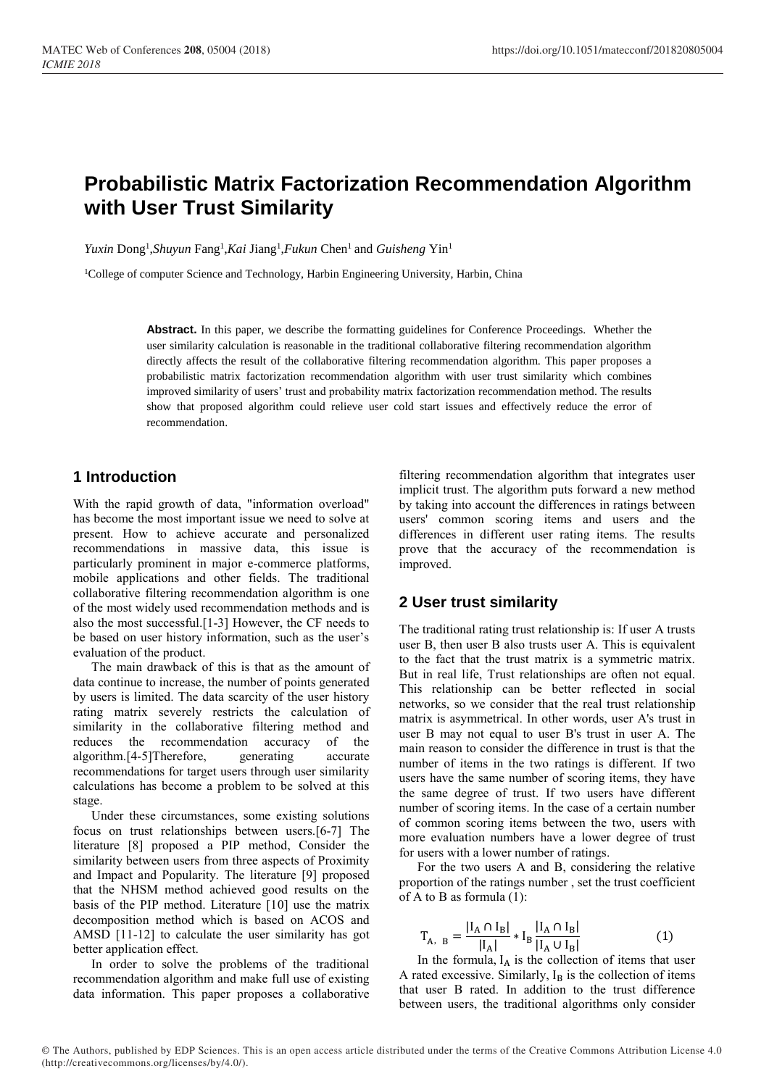# **Probabilistic Matrix Factorization Recommendation Algorithm with User Trust Similarity**

*Yuxin* Dong<sup>1</sup>, *Shuyun* Fang<sup>1</sup>, *Kai* Jiang<sup>1</sup>, *Fukun* Chen<sup>1</sup> and *Guisheng* Yin<sup>1</sup>

<sup>1</sup>College of computer Science and Technology, Harbin Engineering University, Harbin, China

**Abstract.** In this paper, we describe the formatting guidelines for Conference Proceedings. Whether the user similarity calculation is reasonable in the traditional collaborative filtering recommendation algorithm directly affects the result of the collaborative filtering recommendation algorithm. This paper proposes a probabilistic matrix factorization recommendation algorithm with user trust similarity which combines improved similarity of users' trust and probability matrix factorization recommendation method. The results show that proposed algorithm could relieve user cold start issues and effectively reduce the error of recommendation.

# **1 Introduction**

With the rapid growth of data, "information overload" has become the most important issue we need to solve at present. How to achieve accurate and personalized recommendations in massive data, this issue is particularly prominent in major e-commerce platforms, mobile applications and other fields. The traditional collaborative filtering recommendation algorithm is one of the most widely used recommendation methods and is also the most successful.[1-3] However, the CF needs to be based on user history information, such as the user's evaluation of the product.

The main drawback of this is that as the amount of data continue to increase, the number of points generated by users is limited. The data scarcity of the user history rating matrix severely restricts the calculation of similarity in the collaborative filtering method and reduces the recommendation accuracy of the algorithm.[4-5]Therefore, generating accurate recommendations for target users through user similarity calculations has become a problem to be solved at this stage.

Under these circumstances, some existing solutions focus on trust relationships between users.[6-7] The literature [8] proposed a PIP method, Consider the similarity between users from three aspects of Proximity and Impact and Popularity. The literature [9] proposed that the NHSM method achieved good results on the basis of the PIP method. Literature [10] use the matrix decomposition method which is based on ACOS and AMSD [11-12] to calculate the user similarity has got better application effect.

In order to solve the problems of the traditional recommendation algorithm and make full use of existing data information. This paper proposes a collaborative

filtering recommendation algorithm that integrates user implicit trust. The algorithm puts forward a new method by taking into account the differences in ratings between users' common scoring items and users and the differences in different user rating items. The results prove that the accuracy of the recommendation is improved.

## **2 User trust similarity**

The traditional rating trust relationship is: If user A trusts user B, then user B also trusts user A. This is equivalent to the fact that the trust matrix is a symmetric matrix. But in real life, Trust relationships are often not equal. This relationship can be better reflected in social networks, so we consider that the real trust relationship matrix is asymmetrical. In other words, user A's trust in user B may not equal to user B's trust in user A. The main reason to consider the difference in trust is that the number of items in the two ratings is different. If two users have the same number of scoring items, they have the same degree of trust. If two users have different number of scoring items. In the case of a certain number of common scoring items between the two, users with more evaluation numbers have a lower degree of trust for users with a lower number of ratings.

For the two users A and B, considering the relative proportion of the ratings number , set the trust coefficient of A to B as formula (1):

$$
T_{A, B} = \frac{|I_A \cap I_B|}{|I_A|} * I_B \frac{|I_A \cap I_B|}{|I_A \cup I_B|}
$$
(1)

In the formula,  $I_A$  is the collection of items that user A rated excessive. Similarly,  $I_B$  is the collection of items that user B rated. In addition to the trust difference between users, the traditional algorithms only consider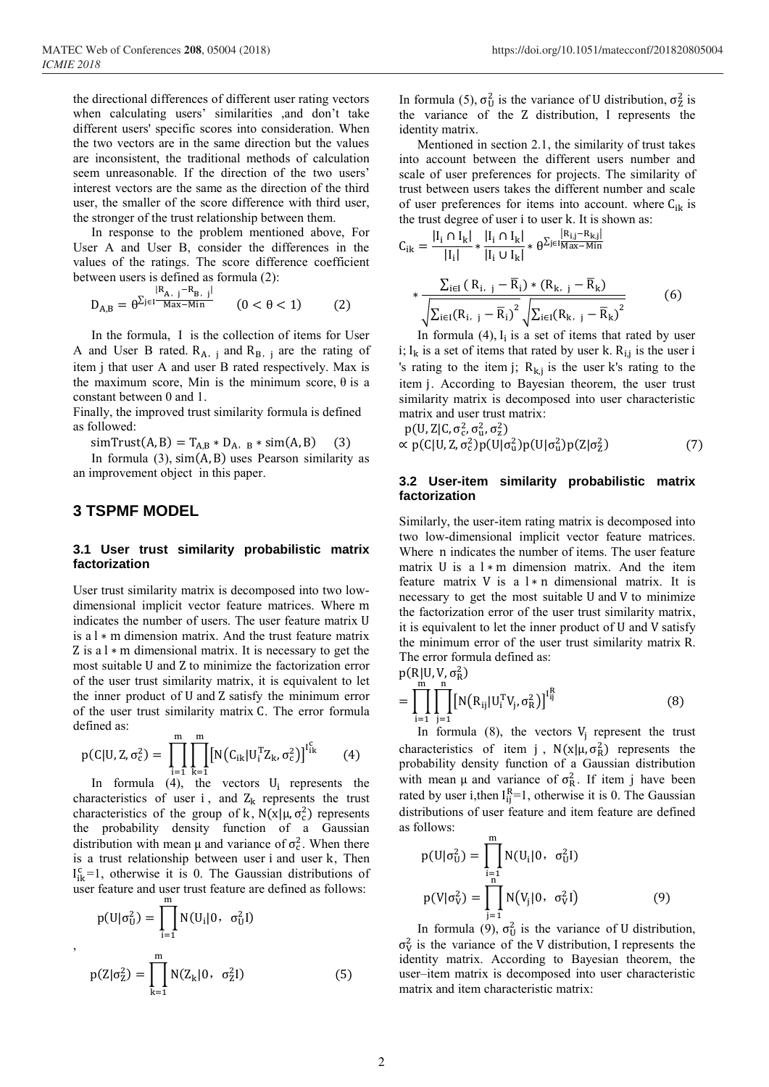the directional differences of different user rating vectors when calculating users' similarities ,and don't take different users' specific scores into consideration. When the two vectors are in the same direction but the values are inconsistent, the traditional methods of calculation seem unreasonable. If the direction of the two users' interest vectors are the same as the direction of the third user, the smaller of the score difference with third user, the stronger of the trust relationship between them.

In response to the problem mentioned above, For User A and User B, consider the differences in the values of the ratings. The score difference coefficient between users is defined as formula (2):

$$
D_{A,B} = \theta^{\sum_{j \in I} \frac{|R_{A,j} - R_{B,j}|}{Max - Min}} \qquad (0 < \theta < 1) \tag{2}
$$

In the formula, I is the collection of items for User A and User B rated.  $R_{A, j}$  and  $R_{B, j}$  are the rating of item j that user A and user B rated respectively. Max is the maximum score, Min is the minimum score,  $θ$  is a constant between 0 and 1.

Finally, the improved trust similarity formula is defined as followed:

simTrust(A, B) = T<sub>A,B</sub> \* D<sub>A,B</sub> \* sim(A,B) (3)

In formula  $(3)$ ,  $\text{sim}(A, B)$  uses Pearson similarity as an improvement object in this paper.

# **3 TSPMF MODEL**

,

### **3.1 User trust similarity probabilistic matrix factorization**

User trust similarity matrix is decomposed into two lowdimensional implicit vector feature matrices. Where m indicates the number of users. The user feature matrix U is a l ∗ m dimension matrix. And the trust feature matrix Z is a l ∗ m dimensional matrix. It is necessary to get the most suitable U and Z to minimize the factorization error of the user trust similarity matrix, it is equivalent to let the inner product of U and Z satisfy the minimum error of the user trust similarity matrix C. The error formula defined as:

$$
p(C|U, Z, \sigma_c^2) = \prod_{i=1}^{m} \prod_{k=1}^{m} [N(C_{ik}|U_i^{\mathrm{T}} Z_k, \sigma_c^2)]^{I_{ik}^c}
$$
 (4)

In formula (4), the vectors  $U_i$  represents the characteristics of user i, and  $Z_k$  represents the trust characteristics of the group of k,  $N(x|\mu, \sigma_c^2)$  represents the probability density function of a Gaussian distribution with mean  $\mu$  and variance of  $\sigma_c^2$ . When there is a trust relationship between user i and user k, Then  $I_{ik}^c = 1$ , otherwise it is 0. The Gaussian distributions of user feature and user trust feature are defined as follows: m

$$
p(U|\sigma_U^2) = \prod_{i=1}^{m} N(U_i|0, \sigma_U^2 I)
$$
  

$$
p(Z|\sigma_Z^2) = \prod_{k=1}^{m} N(Z_k|0, \sigma_Z^2 I)
$$
 (5)

In formula (5),  $\sigma_U^2$  is the variance of U distribution,  $\sigma_Z^2$  is the variance of the Z distribution, I represents the identity matrix.

Mentioned in section 2.1, the similarity of trust takes into account between the different users number and scale of user preferences for projects. The similarity of trust between users takes the different number and scale of user preferences for items into account. where  $C_{ik}$  is the trust degree of user i to user k. It is shown as:

$$
C_{ik} = \frac{|I_i \cap I_k|}{|I_i|} * \frac{|I_i \cap I_k|}{|I_i \cup I_k|} * \theta^{\sum_{j} \in I_{\text{Max}} - N_{\text{in}}}
$$
  

$$
* \frac{\sum_{i \in I} (R_{i, j} - \overline{R}_i) * (R_{k, j} - \overline{R}_k)}{\sqrt{\sum_{i \in I} (R_{i, j} - \overline{R}_i)^2} \sqrt{\sum_{i \in I} (R_{k, j} - \overline{R}_k)^2}}
$$
(6)

In formula  $(4)$ ,  $I_i$  is a set of items that rated by user i;  $I_k$  is a set of items that rated by user k.  $R_{i,j}$  is the user i 's rating to the item j;  $R_{k,j}$  is the user k's rating to the item j. According to Bayesian theorem, the user trust similarity matrix is decomposed into user characteristic matrix and user trust matrix:

$$
p(U, Z|C, \sigma_c^2, \sigma_u^2, \sigma_z^2)
$$
  
 
$$
\propto p(C|U, Z, \sigma_c^2)p(U|\sigma_u^2)p(U|\sigma_u^2)p(Z|\sigma_z^2)
$$
 (7)

#### **3.2 User-item similarity probabilistic matrix factorization**

Similarly, the user-item rating matrix is decomposed into two low-dimensional implicit vector feature matrices. Where n indicates the number of items. The user feature matrix U is a  $l * m$  dimension matrix. And the item feature matrix V is a  $l * n$  dimensional matrix. It is necessary to get the most suitable U and V to minimize the factorization error of the user trust similarity matrix, it is equivalent to let the inner product of U and V satisfy the minimum error of the user trust similarity matrix R. The error formula defined as:

$$
p(R|U, V, \sigma_R^2)
$$
  
= 
$$
\prod_{i=1}^{m} \prod_{j=1}^{n} [N(R_{ij}|U_i^T V_j, \sigma_R^2)]^{I_{ij}^R}
$$
 (8)

In formula  $(8)$ , the vectors  $V_j$  represent the trust characteristics of item j,  $N(x|\mu, \sigma_R^2)$  represents the probability density function of a Gaussian distribution with mean  $\mu$  and variance of  $\sigma_R^2$ . If item j have been rated by user i, then  $I_{ij}^{R}=1$ , otherwise it is 0. The Gaussian distributions of user feature and item feature are defined as follows:

$$
p(U|\sigma_U^2) = \prod_{\substack{i=1 \ n}}^{m} N(U_i|0, \sigma_U^2 I)
$$
  

$$
p(V|\sigma_V^2) = \prod_{j=1}^{m} N(V_j|0, \sigma_V^2 I)
$$
 (9)

In formula (9),  $\sigma_U^2$  is the variance of U distribution,  $\sigma_V^2$  is the variance of the V distribution, I represents the identity matrix. According to Bayesian theorem, the user–item matrix is decomposed into user characteristic matrix and item characteristic matrix: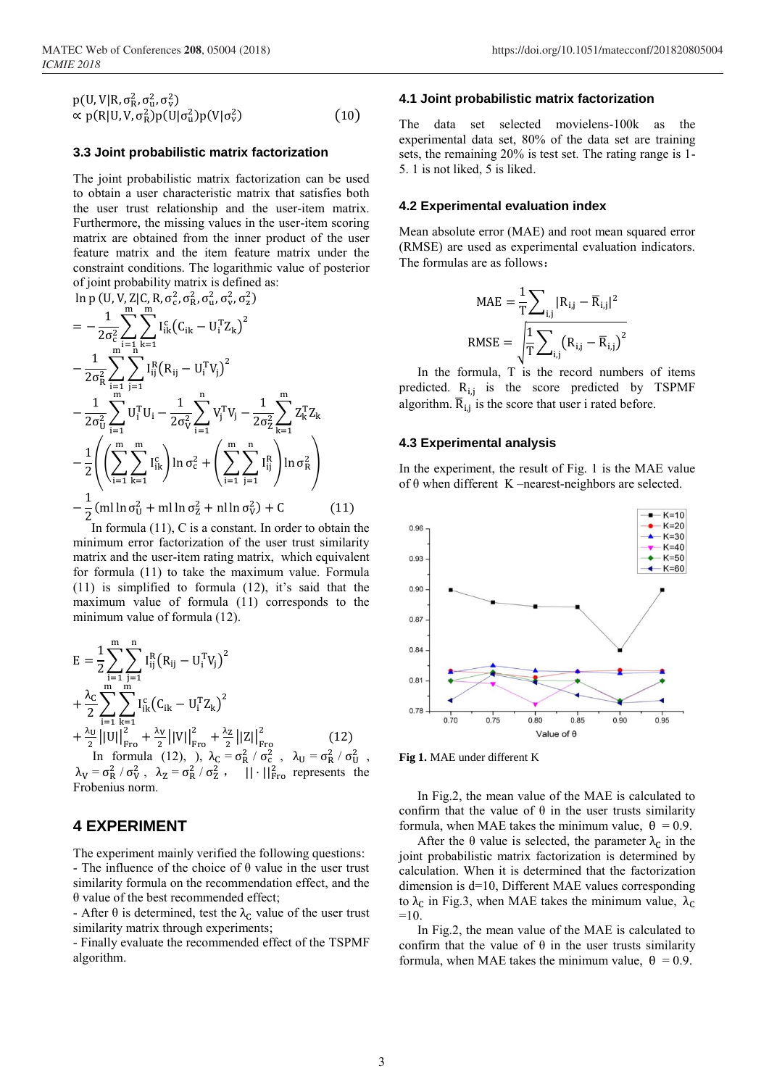$$
p(U, V | R, \sigma_R^2, \sigma_u^2, \sigma_v^2)
$$
  
\n
$$
\propto p(R | U, V, \sigma_R^2) p(U | \sigma_u^2) p(V | \sigma_v^2)
$$
\n(10)

#### **3.3 Joint probabilistic matrix factorization**

The joint probabilistic matrix factorization can be used to obtain a user characteristic matrix that satisfies both the user trust relationship and the user-item matrix. Furthermore, the missing values in the user-item scoring matrix are obtained from the inner product of the user feature matrix and the item feature matrix under the constraint conditions. The logarithmic value of posterior of joint probability matrix is defined as:

$$
\ln p (U, V, Z | C, R, \sigma_c^2, \sigma_R^2, \sigma_u^2, \sigma_v^2, \sigma_z^2)
$$
\n
$$
= -\frac{1}{2\sigma_c^2} \sum_{i=1}^{m} \sum_{k=1}^{m} I_{ik}^c (C_{ik} - U_i^T Z_k)^2
$$
\n
$$
- \frac{1}{2\sigma_R^2} \sum_{i=1}^{m} \sum_{j=1}^{m} I_{ij}^R (R_{ij} - U_i^T V_j)^2
$$
\n
$$
- \frac{1}{2\sigma_U^2} \sum_{i=1}^{m} U_i^T U_i - \frac{1}{2\sigma_V^2} \sum_{i=1}^{n} V_j^T V_j - \frac{1}{2\sigma_Z^2} \sum_{k=1}^{m} Z_k^T Z_k
$$
\n
$$
- \frac{1}{2} \left( \left( \sum_{i=1}^{m} \sum_{k=1}^{m} I_{ik}^c \right) \ln \sigma_c^2 + \left( \sum_{i=1}^{m} \sum_{j=1}^{n} I_{ij}^R \right) \ln \sigma_R^2 \right)
$$
\n
$$
- \frac{1}{2} (m \ln \sigma_U^2 + m \ln \sigma_Z^2 + n \ln \sigma_V^2) + C
$$
\n(11)

In formula  $(11)$ , C is a constant. In order to obtain the minimum error factorization of the user trust similarity matrix and the user-item rating matrix, which equivalent for formula (11) to take the maximum value. Formula (11) is simplified to formula (12), it's said that the maximum value of formula (11) corresponds to the minimum value of formula (12).

$$
E = \frac{1}{2} \sum_{i=1}^{m} \sum_{j=1}^{n} I_{ij}^{R} (R_{ij} - U_{i}^{T} V_{j})^{2}
$$
  
+ 
$$
\frac{\lambda_{C}}{2} \sum_{i=1}^{m} \sum_{k=1}^{m} I_{ik}^{c} (C_{ik} - U_{i}^{T} Z_{k})^{2}
$$
  
+ 
$$
\frac{\lambda_{U}}{2} ||U||_{Fro}^{2} + \frac{\lambda_{V}}{2} ||V||_{Fro}^{2} + \frac{\lambda_{Z}}{2} ||Z||_{Fro}^{2}
$$
  
In formula (12), ), 
$$
\lambda_{C} = \sigma_{K}^{2} / \sigma_{C}^{2}
$$
, 
$$
\lambda_{U} = \sigma_{K}^{2} / \sigma_{U}^{2}
$$
  
and (12), 
$$
\lambda_{C} = \sigma_{K}^{2} / \sigma_{C}^{2}
$$
, 
$$
\lambda_{U} = \sigma_{K}^{2} / \sigma_{U}^{2}
$$

 $\lambda_V = \sigma_R^2 / \sigma_V^2$ ,  $\lambda_Z = \sigma_R^2 / \sigma_Z^2$  $\frac{2}{2}$ ,  $|| \cdot ||_{\text{Fro}}^2$  represents the Frobenius norm.

## **4 EXPERIMENT**

The experiment mainly verified the following questions: - The influence of the choice of  $\theta$  value in the user trust similarity formula on the recommendation effect, and the θ value of the best recommended effect;

- After  $\theta$  is determined, test the  $\lambda_c$  value of the user trust similarity matrix through experiments;

- Finally evaluate the recommended effect of the TSPMF algorithm.

#### **4.1 Joint probabilistic matrix factorization**

The data set selected movielens-100k as the experimental data set, 80% of the data set are training sets, the remaining 20% is test set. The rating range is 1- 5. 1 is not liked, 5 is liked.

#### **4.2 Experimental evaluation index**

Mean absolute error (MAE) and root mean squared error (RMSE) are used as experimental evaluation indicators. The formulas are as follows:

$$
MAE = \frac{1}{T} \sum_{i,j} |R_{i,j} - \overline{R}_{i,j}|^2
$$
  
RMSE = 
$$
\sqrt{\frac{1}{T} \sum_{i,j} (R_{i,j} - \overline{R}_{i,j})^2}
$$

In the formula, T is the record numbers of items predicted. R<sub>i,j</sub> is the score predicted by TSPMF algorithm.  $\overline{R}_{i,j}$  is the score that user i rated before.

#### **4.3 Experimental analysis**

In the experiment, the result of Fig. 1 is the MAE value of  $\theta$  when different K –nearest-neighbors are selected.



**Fig 1.** MAE under different K

In Fig.2, the mean value of the MAE is calculated to confirm that the value of  $\theta$  in the user trusts similarity formula, when MAE takes the minimum value,  $\theta = 0.9$ .

After the  $\theta$  value is selected, the parameter  $\lambda_c$  in the joint probabilistic matrix factorization is determined by calculation. When it is determined that the factorization dimension is d=10, Different MAE values corresponding to  $\lambda_c$  in Fig.3, when MAE takes the minimum value,  $\lambda_c$  $=10$ .

In Fig.2, the mean value of the MAE is calculated to confirm that the value of  $\theta$  in the user trusts similarity formula, when MAE takes the minimum value,  $\theta = 0.9$ .

,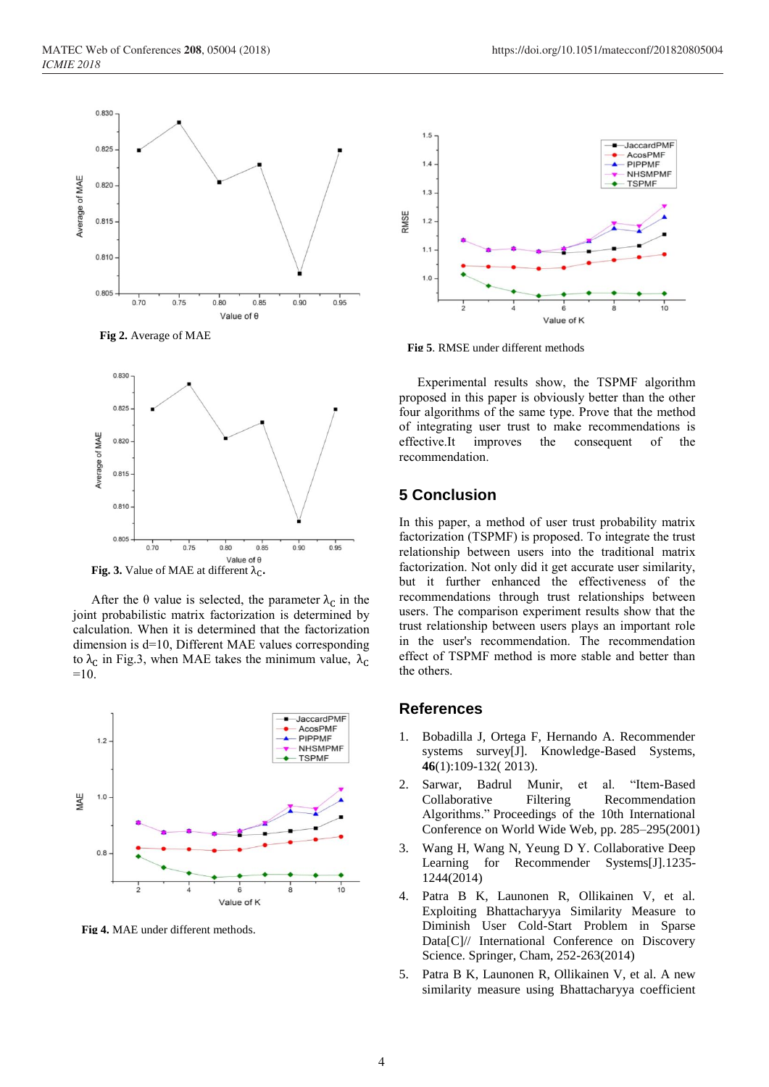



After the  $\theta$  value is selected, the parameter  $\lambda_c$  in the joint probabilistic matrix factorization is determined by calculation. When it is determined that the factorization

 $=10.$ 

dimension is d=10, Different MAE values corresponding to  $λ<sub>C</sub>$  in Fig.3, when MAE takes the minimum value,  $λ<sub>C</sub>$ 



**Fig 4.** MAE under different methods.



**Fig 5**. RMSE under different methods

Experimental results show, the TSPMF algorithm proposed in this paper is obviously better than the other four algorithms of the same type. Prove that the method of integrating user trust to make recommendations is effective.It improves the consequent of the recommendation.

# **5 Conclusion**

In this paper, a method of user trust probability matrix factorization (TSPMF) is proposed. To integrate the trust relationship between users into the traditional matrix factorization. Not only did it get accurate user similarity, but it further enhanced the effectiveness of the recommendations through trust relationships between users. The comparison experiment results show that the trust relationship between users plays an important role in the user's recommendation. The recommendation effect of TSPMF method is more stable and better than the others.

## **References**

- 1. Bobadilla J, Ortega F, Hernando A. Recommender systems survey[J]. Knowledge-Based Systems, **46**(1):109-132( 2013).
- 2. Sarwar, Badrul Munir, et al. "Item-Based Collaborative Filtering Recommendation Algorithms." Proceedings of the 10th International Conference on World Wide Web, pp. 285–295(2001)
- 3. Wang H, Wang N, Yeung D Y. Collaborative Deep Learning for Recommender Systems[J].1235- 1244(2014)
- 4. Patra B K, Launonen R, Ollikainen V, et al. Exploiting Bhattacharyya Similarity Measure to Diminish User Cold-Start Problem in Sparse Data[C]// International Conference on Discovery Science. Springer, Cham, 252-263(2014)
- 5. Patra B K, Launonen R, Ollikainen V, et al. A new similarity measure using Bhattacharyya coefficient